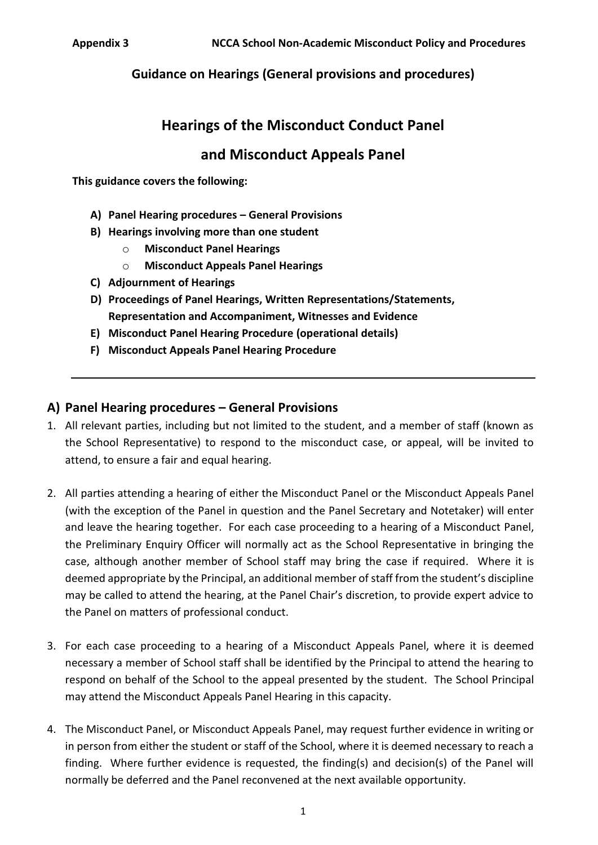# **Hearings of the Misconduct Conduct Panel**

# **and Misconduct Appeals Panel**

**This guidance covers the following:**

- **A) Panel Hearing procedures – General Provisions**
- **B) Hearings involving more than one student**
	- o **Misconduct Panel Hearings**
	- o **Misconduct Appeals Panel Hearings**
- **C) Adjournment of Hearings**
- **D) Proceedings of Panel Hearings, Written Representations/Statements, Representation and Accompaniment, Witnesses and Evidence**
- **E) Misconduct Panel Hearing Procedure (operational details)**
- **F) Misconduct Appeals Panel Hearing Procedure**

### **A) Panel Hearing procedures – General Provisions**

- 1. All relevant parties, including but not limited to the student, and a member of staff (known as the School Representative) to respond to the misconduct case, or appeal, will be invited to attend, to ensure a fair and equal hearing.
- 2. All parties attending a hearing of either the Misconduct Panel or the Misconduct Appeals Panel (with the exception of the Panel in question and the Panel Secretary and Notetaker) will enter and leave the hearing together. For each case proceeding to a hearing of a Misconduct Panel, the Preliminary Enquiry Officer will normally act as the School Representative in bringing the case, although another member of School staff may bring the case if required. Where it is deemed appropriate by the Principal, an additional member of staff from the student's discipline may be called to attend the hearing, at the Panel Chair's discretion, to provide expert advice to the Panel on matters of professional conduct.
- 3. For each case proceeding to a hearing of a Misconduct Appeals Panel, where it is deemed necessary a member of School staff shall be identified by the Principal to attend the hearing to respond on behalf of the School to the appeal presented by the student. The School Principal may attend the Misconduct Appeals Panel Hearing in this capacity.
- 4. The Misconduct Panel, or Misconduct Appeals Panel, may request further evidence in writing or in person from either the student or staff of the School, where it is deemed necessary to reach a finding. Where further evidence is requested, the finding(s) and decision(s) of the Panel will normally be deferred and the Panel reconvened at the next available opportunity.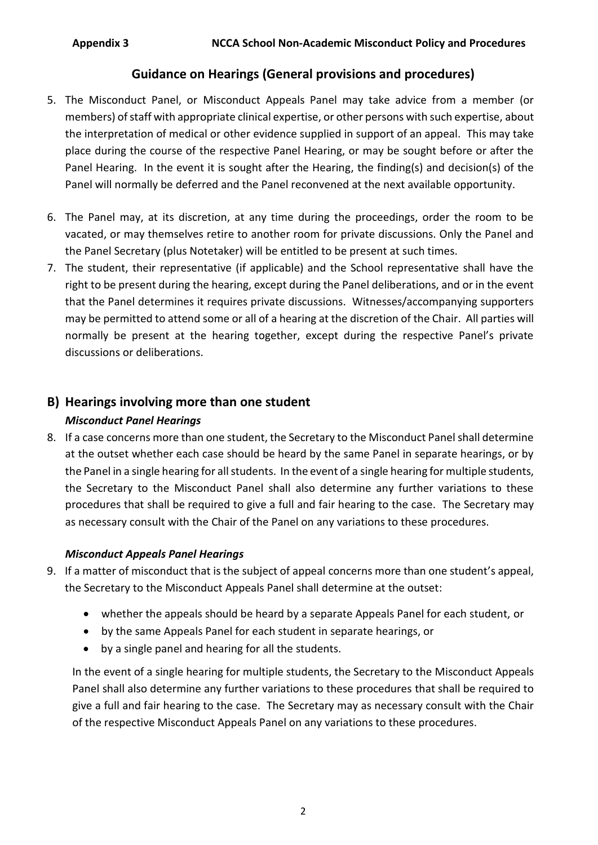- 5. The Misconduct Panel, or Misconduct Appeals Panel may take advice from a member (or members) of staff with appropriate clinical expertise, or other persons with such expertise, about the interpretation of medical or other evidence supplied in support of an appeal. This may take place during the course of the respective Panel Hearing, or may be sought before or after the Panel Hearing. In the event it is sought after the Hearing, the finding(s) and decision(s) of the Panel will normally be deferred and the Panel reconvened at the next available opportunity.
- 6. The Panel may, at its discretion, at any time during the proceedings, order the room to be vacated, or may themselves retire to another room for private discussions. Only the Panel and the Panel Secretary (plus Notetaker) will be entitled to be present at such times.
- 7. The student, their representative (if applicable) and the School representative shall have the right to be present during the hearing, except during the Panel deliberations, and or in the event that the Panel determines it requires private discussions. Witnesses/accompanying supporters may be permitted to attend some or all of a hearing at the discretion of the Chair. All parties will normally be present at the hearing together, except during the respective Panel's private discussions or deliberations.

## **B) Hearings involving more than one student**

### *Misconduct Panel Hearings*

8. If a case concerns more than one student, the Secretary to the Misconduct Panel shall determine at the outset whether each case should be heard by the same Panel in separate hearings, or by the Panel in a single hearing for all students. In the event of a single hearing for multiple students, the Secretary to the Misconduct Panel shall also determine any further variations to these procedures that shall be required to give a full and fair hearing to the case. The Secretary may as necessary consult with the Chair of the Panel on any variations to these procedures.

### *Misconduct Appeals Panel Hearings*

- 9. If a matter of misconduct that is the subject of appeal concerns more than one student's appeal, the Secretary to the Misconduct Appeals Panel shall determine at the outset:
	- whether the appeals should be heard by a separate Appeals Panel for each student, or
	- by the same Appeals Panel for each student in separate hearings, or
	- by a single panel and hearing for all the students.

In the event of a single hearing for multiple students, the Secretary to the Misconduct Appeals Panel shall also determine any further variations to these procedures that shall be required to give a full and fair hearing to the case. The Secretary may as necessary consult with the Chair of the respective Misconduct Appeals Panel on any variations to these procedures.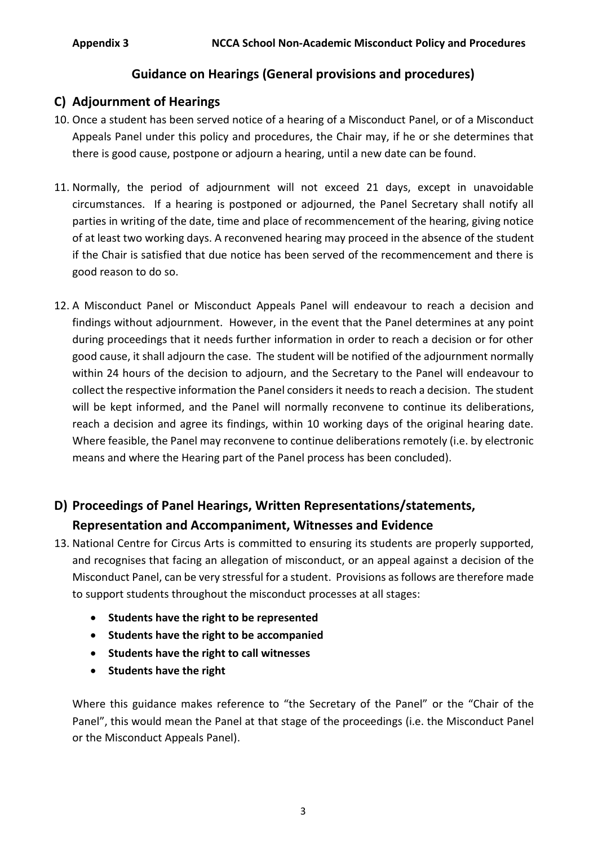### **C) Adjournment of Hearings**

- 10. Once a student has been served notice of a hearing of a Misconduct Panel, or of a Misconduct Appeals Panel under this policy and procedures, the Chair may, if he or she determines that there is good cause, postpone or adjourn a hearing, until a new date can be found.
- 11. Normally, the period of adjournment will not exceed 21 days, except in unavoidable circumstances. If a hearing is postponed or adjourned, the Panel Secretary shall notify all parties in writing of the date, time and place of recommencement of the hearing, giving notice of at least two working days. A reconvened hearing may proceed in the absence of the student if the Chair is satisfied that due notice has been served of the recommencement and there is good reason to do so.
- 12. A Misconduct Panel or Misconduct Appeals Panel will endeavour to reach a decision and findings without adjournment. However, in the event that the Panel determines at any point during proceedings that it needs further information in order to reach a decision or for other good cause, it shall adjourn the case. The student will be notified of the adjournment normally within 24 hours of the decision to adjourn, and the Secretary to the Panel will endeavour to collect the respective information the Panel considers it needs to reach a decision. The student will be kept informed, and the Panel will normally reconvene to continue its deliberations, reach a decision and agree its findings, within 10 working days of the original hearing date. Where feasible, the Panel may reconvene to continue deliberations remotely (i.e. by electronic means and where the Hearing part of the Panel process has been concluded).

# **D) Proceedings of Panel Hearings, Written Representations/statements, Representation and Accompaniment, Witnesses and Evidence**

- 13. National Centre for Circus Arts is committed to ensuring its students are properly supported, and recognises that facing an allegation of misconduct, or an appeal against a decision of the Misconduct Panel, can be very stressful for a student. Provisions as follows are therefore made to support students throughout the misconduct processes at all stages:
	- **•** Students have the right to be represented
	- **Students have the right to be accompanied**
	- **Students have the right to call witnesses**
	- **•** Students have the right

Where this guidance makes reference to "the Secretary of the Panel" or the "Chair of the Panel", this would mean the Panel at that stage of the proceedings (i.e. the Misconduct Panel or the Misconduct Appeals Panel).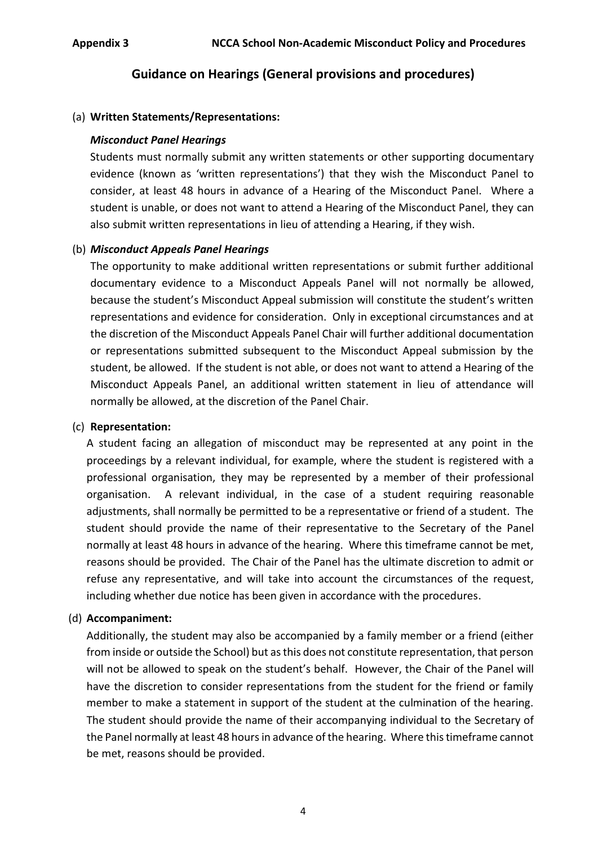#### (a) **Written Statements/Representations:**

#### *Misconduct Panel Hearings*

Students must normally submit any written statements or other supporting documentary evidence (known as 'written representations') that they wish the Misconduct Panel to consider, at least 48 hours in advance of a Hearing of the Misconduct Panel. Where a student is unable, or does not want to attend a Hearing of the Misconduct Panel, they can also submit written representations in lieu of attending a Hearing, if they wish.

#### (b) *Misconduct Appeals Panel Hearings*

The opportunity to make additional written representations or submit further additional documentary evidence to a Misconduct Appeals Panel will not normally be allowed, because the student's Misconduct Appeal submission will constitute the student's written representations and evidence for consideration. Only in exceptional circumstances and at the discretion of the Misconduct Appeals Panel Chair will further additional documentation or representations submitted subsequent to the Misconduct Appeal submission by the student, be allowed. If the student is not able, or does not want to attend a Hearing of the Misconduct Appeals Panel, an additional written statement in lieu of attendance will normally be allowed, at the discretion of the Panel Chair.

#### (c) **Representation:**

A student facing an allegation of misconduct may be represented at any point in the proceedings by a relevant individual, for example, where the student is registered with a professional organisation, they may be represented by a member of their professional organisation. A relevant individual, in the case of a student requiring reasonable adjustments, shall normally be permitted to be a representative or friend of a student. The student should provide the name of their representative to the Secretary of the Panel normally at least 48 hours in advance of the hearing. Where this timeframe cannot be met, reasons should be provided. The Chair of the Panel has the ultimate discretion to admit or refuse any representative, and will take into account the circumstances of the request, including whether due notice has been given in accordance with the procedures.

#### (d) **Accompaniment:**

Additionally, the student may also be accompanied by a family member or a friend (either from inside or outside the School) but as this does not constitute representation, that person will not be allowed to speak on the student's behalf. However, the Chair of the Panel will have the discretion to consider representations from the student for the friend or family member to make a statement in support of the student at the culmination of the hearing. The student should provide the name of their accompanying individual to the Secretary of the Panel normally at least 48 hours in advance of the hearing. Where this timeframe cannot be met, reasons should be provided.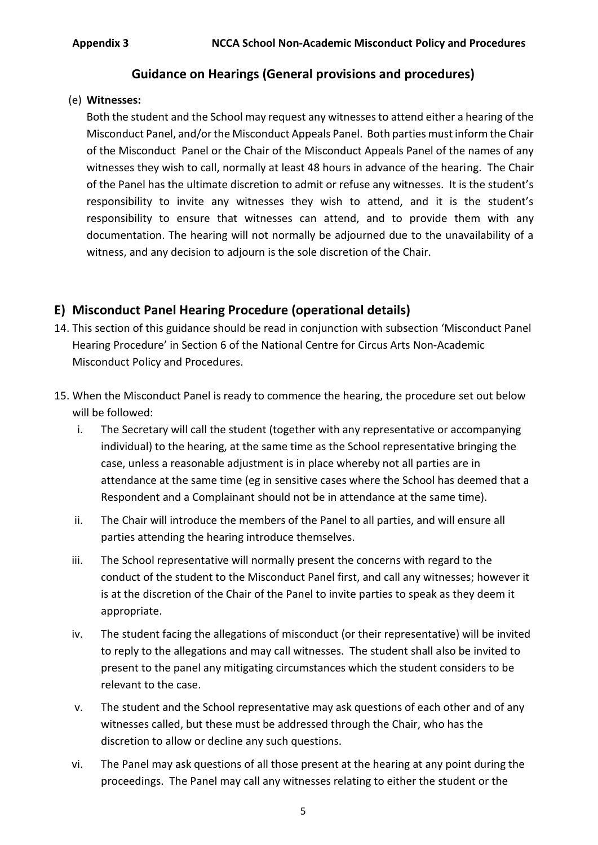#### (e) **Witnesses:**

Both the student and the School may request any witnesses to attend either a hearing of the Misconduct Panel, and/or the Misconduct Appeals Panel. Both parties must inform the Chair of the Misconduct Panel or the Chair of the Misconduct Appeals Panel of the names of any witnesses they wish to call, normally at least 48 hours in advance of the hearing. The Chair of the Panel has the ultimate discretion to admit or refuse any witnesses. It is the student's responsibility to invite any witnesses they wish to attend, and it is the student's responsibility to ensure that witnesses can attend, and to provide them with any documentation. The hearing will not normally be adjourned due to the unavailability of a witness, and any decision to adjourn is the sole discretion of the Chair.

### **E) Misconduct Panel Hearing Procedure (operational details)**

- 14. This section of this guidance should be read in conjunction with subsection 'Misconduct Panel Hearing Procedure' in Section 6 of the National Centre for Circus Arts Non-Academic Misconduct Policy and Procedures.
- 15. When the Misconduct Panel is ready to commence the hearing, the procedure set out below will be followed:
	- i. The Secretary will call the student (together with any representative or accompanying individual) to the hearing, at the same time as the School representative bringing the case, unless a reasonable adjustment is in place whereby not all parties are in attendance at the same time (eg in sensitive cases where the School has deemed that a Respondent and a Complainant should not be in attendance at the same time).
	- ii. The Chair will introduce the members of the Panel to all parties, and will ensure all parties attending the hearing introduce themselves.
	- iii. The School representative will normally present the concerns with regard to the conduct of the student to the Misconduct Panel first, and call any witnesses; however it is at the discretion of the Chair of the Panel to invite parties to speak as they deem it appropriate.
	- iv. The student facing the allegations of misconduct (or their representative) will be invited to reply to the allegations and may call witnesses. The student shall also be invited to present to the panel any mitigating circumstances which the student considers to be relevant to the case.
	- v. The student and the School representative may ask questions of each other and of any witnesses called, but these must be addressed through the Chair, who has the discretion to allow or decline any such questions.
	- vi. The Panel may ask questions of all those present at the hearing at any point during the proceedings. The Panel may call any witnesses relating to either the student or the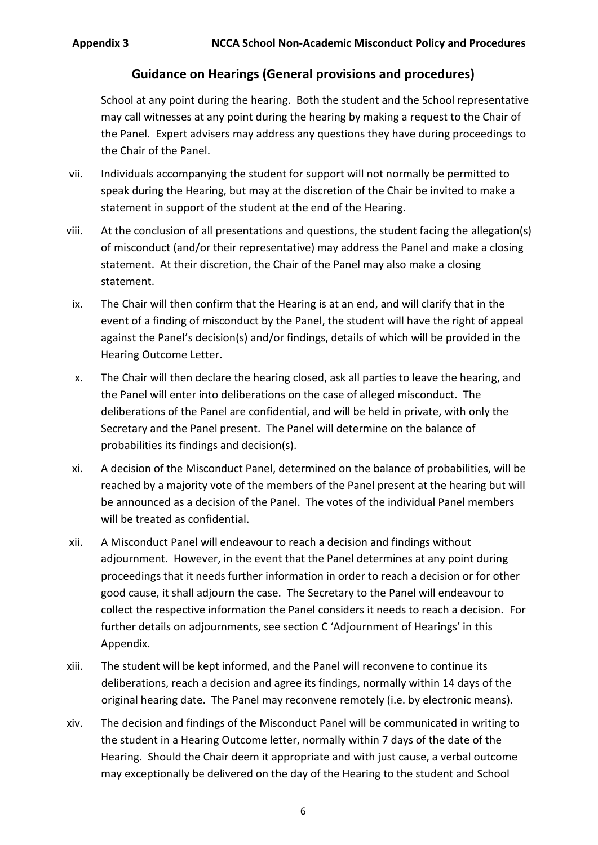School at any point during the hearing. Both the student and the School representative may call witnesses at any point during the hearing by making a request to the Chair of the Panel. Expert advisers may address any questions they have during proceedings to the Chair of the Panel.

- vii. Individuals accompanying the student for support will not normally be permitted to speak during the Hearing, but may at the discretion of the Chair be invited to make a statement in support of the student at the end of the Hearing.
- viii. At the conclusion of all presentations and questions, the student facing the allegation(s) of misconduct (and/or their representative) may address the Panel and make a closing statement. At their discretion, the Chair of the Panel may also make a closing statement.
	- ix. The Chair will then confirm that the Hearing is at an end, and will clarify that in the event of a finding of misconduct by the Panel, the student will have the right of appeal against the Panel's decision(s) and/or findings, details of which will be provided in the Hearing Outcome Letter.
	- x. The Chair will then declare the hearing closed, ask all parties to leave the hearing, and the Panel will enter into deliberations on the case of alleged misconduct. The deliberations of the Panel are confidential, and will be held in private, with only the Secretary and the Panel present. The Panel will determine on the balance of probabilities its findings and decision(s).
- xi. A decision of the Misconduct Panel, determined on the balance of probabilities, will be reached by a majority vote of the members of the Panel present at the hearing but will be announced as a decision of the Panel. The votes of the individual Panel members will be treated as confidential.
- xii. A Misconduct Panel will endeavour to reach a decision and findings without adjournment. However, in the event that the Panel determines at any point during proceedings that it needs further information in order to reach a decision or for other good cause, it shall adjourn the case. The Secretary to the Panel will endeavour to collect the respective information the Panel considers it needs to reach a decision. For further details on adjournments, see section C 'Adjournment of Hearings' in this Appendix.
- xiii. The student will be kept informed, and the Panel will reconvene to continue its deliberations, reach a decision and agree its findings, normally within 14 days of the original hearing date. The Panel may reconvene remotely (i.e. by electronic means).
- xiv. The decision and findings of the Misconduct Panel will be communicated in writing to the student in a Hearing Outcome letter, normally within 7 days of the date of the Hearing. Should the Chair deem it appropriate and with just cause, a verbal outcome may exceptionally be delivered on the day of the Hearing to the student and School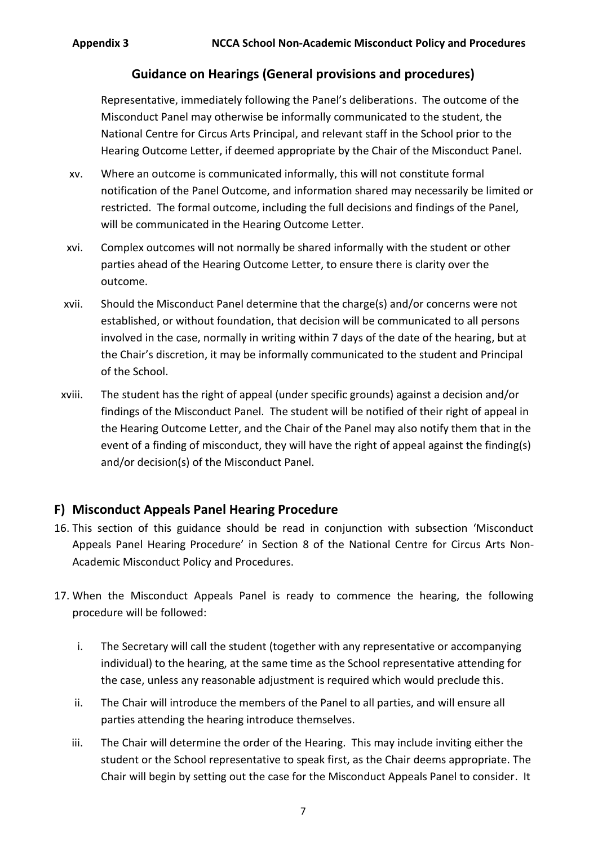Representative, immediately following the Panel's deliberations. The outcome of the Misconduct Panel may otherwise be informally communicated to the student, the National Centre for Circus Arts Principal, and relevant staff in the School prior to the Hearing Outcome Letter, if deemed appropriate by the Chair of the Misconduct Panel.

- xv. Where an outcome is communicated informally, this will not constitute formal notification of the Panel Outcome, and information shared may necessarily be limited or restricted. The formal outcome, including the full decisions and findings of the Panel, will be communicated in the Hearing Outcome Letter.
- xvi. Complex outcomes will not normally be shared informally with the student or other parties ahead of the Hearing Outcome Letter, to ensure there is clarity over the outcome.
- xvii. Should the Misconduct Panel determine that the charge(s) and/or concerns were not established, or without foundation, that decision will be communicated to all persons involved in the case, normally in writing within 7 days of the date of the hearing, but at the Chair's discretion, it may be informally communicated to the student and Principal of the School.
- xviii. The student has the right of appeal (under specific grounds) against a decision and/or findings of the Misconduct Panel. The student will be notified of their right of appeal in the Hearing Outcome Letter, and the Chair of the Panel may also notify them that in the event of a finding of misconduct, they will have the right of appeal against the finding(s) and/or decision(s) of the Misconduct Panel.

### **F) Misconduct Appeals Panel Hearing Procedure**

- 16. This section of this guidance should be read in conjunction with subsection 'Misconduct Appeals Panel Hearing Procedure' in Section 8 of the National Centre for Circus Arts Non-Academic Misconduct Policy and Procedures.
- 17. When the Misconduct Appeals Panel is ready to commence the hearing, the following procedure will be followed:
	- i. The Secretary will call the student (together with any representative or accompanying individual) to the hearing, at the same time as the School representative attending for the case, unless any reasonable adjustment is required which would preclude this.
	- ii. The Chair will introduce the members of the Panel to all parties, and will ensure all parties attending the hearing introduce themselves.
	- iii. The Chair will determine the order of the Hearing. This may include inviting either the student or the School representative to speak first, as the Chair deems appropriate. The Chair will begin by setting out the case for the Misconduct Appeals Panel to consider. It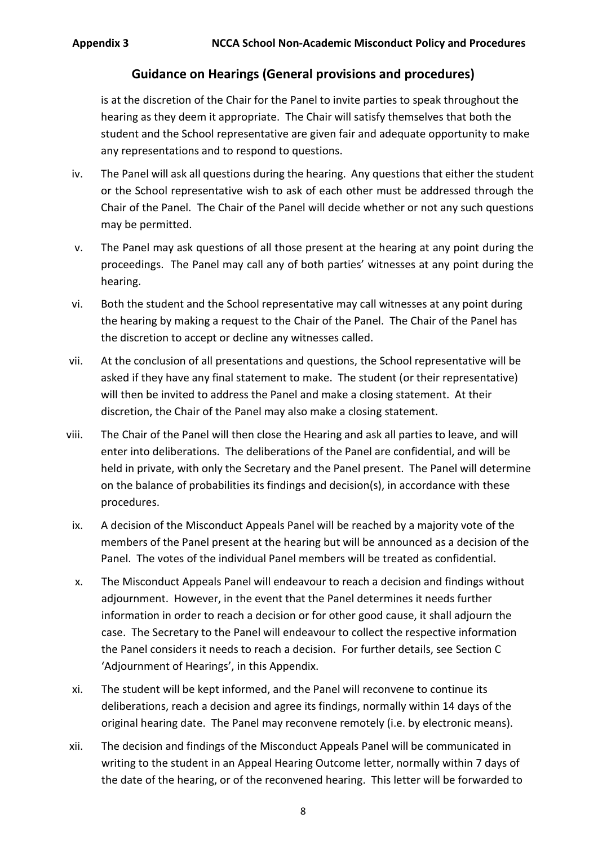is at the discretion of the Chair for the Panel to invite parties to speak throughout the hearing as they deem it appropriate. The Chair will satisfy themselves that both the student and the School representative are given fair and adequate opportunity to make any representations and to respond to questions.

- iv. The Panel will ask all questions during the hearing. Any questions that either the student or the School representative wish to ask of each other must be addressed through the Chair of the Panel. The Chair of the Panel will decide whether or not any such questions may be permitted.
- v. The Panel may ask questions of all those present at the hearing at any point during the proceedings. The Panel may call any of both parties' witnesses at any point during the hearing.
- vi. Both the student and the School representative may call witnesses at any point during the hearing by making a request to the Chair of the Panel. The Chair of the Panel has the discretion to accept or decline any witnesses called.
- vii. At the conclusion of all presentations and questions, the School representative will be asked if they have any final statement to make. The student (or their representative) will then be invited to address the Panel and make a closing statement. At their discretion, the Chair of the Panel may also make a closing statement.
- viii. The Chair of the Panel will then close the Hearing and ask all parties to leave, and will enter into deliberations. The deliberations of the Panel are confidential, and will be held in private, with only the Secretary and the Panel present. The Panel will determine on the balance of probabilities its findings and decision(s), in accordance with these procedures.
- ix. A decision of the Misconduct Appeals Panel will be reached by a majority vote of the members of the Panel present at the hearing but will be announced as a decision of the Panel. The votes of the individual Panel members will be treated as confidential.
- x. The Misconduct Appeals Panel will endeavour to reach a decision and findings without adjournment. However, in the event that the Panel determines it needs further information in order to reach a decision or for other good cause, it shall adjourn the case. The Secretary to the Panel will endeavour to collect the respective information the Panel considers it needs to reach a decision. For further details, see Section C 'Adjournment of Hearings', in this Appendix.
- xi. The student will be kept informed, and the Panel will reconvene to continue its deliberations, reach a decision and agree its findings, normally within 14 days of the original hearing date. The Panel may reconvene remotely (i.e. by electronic means).
- xii. The decision and findings of the Misconduct Appeals Panel will be communicated in writing to the student in an Appeal Hearing Outcome letter, normally within 7 days of the date of the hearing, or of the reconvened hearing. This letter will be forwarded to